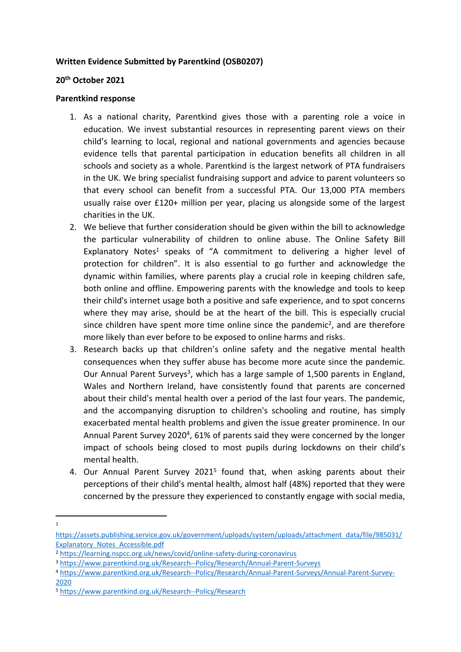## **Written Evidence Submitted by Parentkind (OSB0207)**

## **20th October 2021**

## **Parentkind response**

- 1. As a national charity, Parentkind gives those with a parenting role a voice in education. We invest substantial resources in representing parent views on their child's learning to local, regional and national governments and agencies because evidence tells that parental participation in education benefits all children in all schools and society as a whole. Parentkind is the largest network of PTA fundraisers in the UK. We bring specialist fundraising support and advice to parent volunteers so that every school can benefit from a successful PTA. Our 13,000 PTA members usually raise over £120+ million per year, placing us alongside some of the largest charities in the UK.
- 2. We believe that further consideration should be given within the bill to acknowledge the particular vulnerability of children to online abuse. The Online Safety Bill Explanatory Notes<sup>1</sup> speaks of "A commitment to delivering a higher level of protection for children". It is also essential to go further and acknowledge the dynamic within families, where parents play a crucial role in keeping children safe, both online and offline. Empowering parents with the knowledge and tools to keep their child's internet usage both a positive and safe experience, and to spot concerns where they may arise, should be at the heart of the bill. This is especially crucial since children have spent more time online since the pandemic<sup>2</sup>, and are therefore more likely than ever before to be exposed to online harms and risks.
- 3. Research backs up that children's online safety and the negative mental health consequences when they suffer abuse has become more acute since the pandemic. Our Annual Parent Surveys<sup>3</sup>, which has a large sample of 1,500 parents in England, Wales and Northern Ireland, have consistently found that parents are concerned about their child's mental health over a period of the last four years. The pandemic, and the accompanying disruption to children's schooling and routine, has simply exacerbated mental health problems and given the issue greater prominence. In our Annual Parent Survey 2020<sup>4</sup>, 61% of parents said they were concerned by the longer impact of schools being closed to most pupils during lockdowns on their child's mental health.
- 4. Our Annual Parent Survey 2021<sup>5</sup> found that, when asking parents about their perceptions of their child's mental health, almost half (48%) reported that they were concerned by the pressure they experienced to constantly engage with social media,

<sup>1</sup>

[https://assets.publishing.service.gov.uk/government/uploads/system/uploads/attachment\\_data/file/985031/](https://assets.publishing.service.gov.uk/government/uploads/system/uploads/attachment_data/file/985031/Explanatory_Notes_Accessible.pdf) [Explanatory\\_Notes\\_Accessible.pdf](https://assets.publishing.service.gov.uk/government/uploads/system/uploads/attachment_data/file/985031/Explanatory_Notes_Accessible.pdf)

<sup>2</sup> <https://learning.nspcc.org.uk/news/covid/online-safety-during-coronavirus>

<sup>3</sup> <https://www.parentkind.org.uk/Research--Policy/Research/Annual-Parent-Surveys>

<sup>4</sup> [https://www.parentkind.org.uk/Research--Policy/Research/Annual-Parent-Surveys/Annual-Parent-Survey-](https://www.parentkind.org.uk/Research--Policy/Research/Annual-Parent-Surveys/Annual-Parent-Survey-2020)[2020](https://www.parentkind.org.uk/Research--Policy/Research/Annual-Parent-Surveys/Annual-Parent-Survey-2020)

<sup>5</sup> <https://www.parentkind.org.uk/Research--Policy/Research>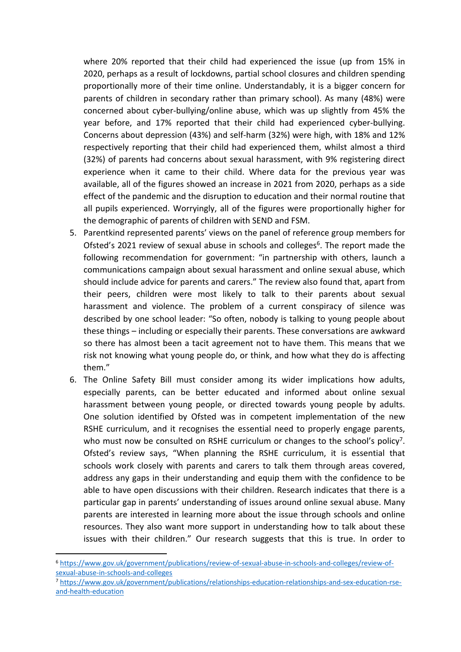where 20% reported that their child had experienced the issue (up from 15% in 2020, perhaps as a result of lockdowns, partial school closures and children spending proportionally more of their time online. Understandably, it is a bigger concern for parents of children in secondary rather than primary school). As many (48%) were concerned about cyber-bullying/online abuse, which was up slightly from 45% the year before, and 17% reported that their child had experienced cyber-bullying. Concerns about depression (43%) and self-harm (32%) were high, with 18% and 12% respectively reporting that their child had experienced them, whilst almost a third (32%) of parents had concerns about sexual harassment, with 9% registering direct experience when it came to their child. Where data for the previous year was available, all of the figures showed an increase in 2021 from 2020, perhaps as a side effect of the pandemic and the disruption to education and their normal routine that all pupils experienced. Worryingly, all of the figures were proportionally higher for the demographic of parents of children with SEND and FSM.

- 5. Parentkind represented parents' views on the panel of reference group members for Ofsted's 2021 review of sexual abuse in schools and colleges<sup>6</sup>. The report made the following recommendation for government: "in partnership with others, launch a communications campaign about sexual harassment and online sexual abuse, which should include advice for parents and carers." The review also found that, apart from their peers, children were most likely to talk to their parents about sexual harassment and violence. The problem of a current conspiracy of silence was described by one school leader: "So often, nobody is talking to young people about these things – including or especially their parents. These conversations are awkward so there has almost been a tacit agreement not to have them. This means that we risk not knowing what young people do, or think, and how what they do is affecting them."
- 6. The Online Safety Bill must consider among its wider implications how adults, especially parents, can be better educated and informed about online sexual harassment between young people, or directed towards young people by adults. One solution identified by Ofsted was in competent implementation of the new RSHE curriculum, and it recognises the essential need to properly engage parents, who must now be consulted on RSHE curriculum or changes to the school's policy<sup>7</sup>. Ofsted's review says, "When planning the RSHE curriculum, it is essential that schools work closely with parents and carers to talk them through areas covered, address any gaps in their understanding and equip them with the confidence to be able to have open discussions with their children. Research indicates that there is a particular gap in parents' understanding of issues around online sexual abuse. Many parents are interested in learning more about the issue through schools and online resources. They also want more support in understanding how to talk about these issues with their children." Our research suggests that this is true. In order to

<sup>6</sup> [https://www.gov.uk/government/publications/review-of-sexual-abuse-in-schools-and-colleges/review-of](https://www.gov.uk/government/publications/review-of-sexual-abuse-in-schools-and-colleges/review-of-sexual-abuse-in-schools-and-colleges)[sexual-abuse-in-schools-and-colleges](https://www.gov.uk/government/publications/review-of-sexual-abuse-in-schools-and-colleges/review-of-sexual-abuse-in-schools-and-colleges)

<sup>7</sup> [https://www.gov.uk/government/publications/relationships-education-relationships-and-sex-education-rse](https://www.gov.uk/government/publications/relationships-education-relationships-and-sex-education-rse-and-health-education)[and-health-education](https://www.gov.uk/government/publications/relationships-education-relationships-and-sex-education-rse-and-health-education)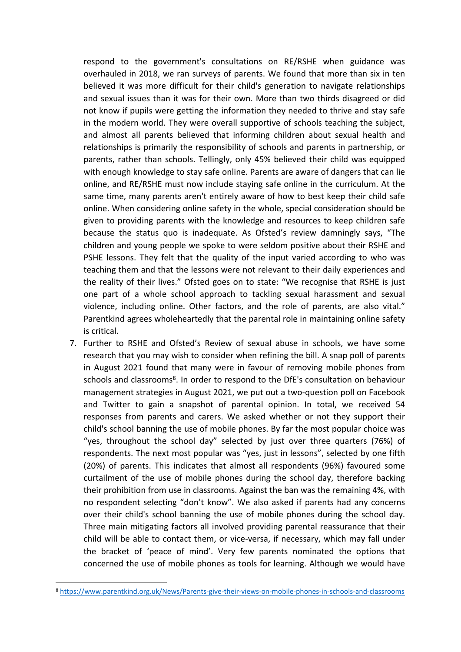respond to the government's consultations on RE/RSHE when guidance was overhauled in 2018, we ran surveys of parents. We found that more than six in ten believed it was more difficult for their child's generation to navigate relationships and sexual issues than it was for their own. More than two thirds disagreed or did not know if pupils were getting the information they needed to thrive and stay safe in the modern world. They were overall supportive of schools teaching the subject, and almost all parents believed that informing children about sexual health and relationships is primarily the responsibility of schools and parents in partnership, or parents, rather than schools. Tellingly, only 45% believed their child was equipped with enough knowledge to stay safe online. Parents are aware of dangers that can lie online, and RE/RSHE must now include staying safe online in the curriculum. At the same time, many parents aren't entirely aware of how to best keep their child safe online. When considering online safety in the whole, special consideration should be given to providing parents with the knowledge and resources to keep children safe because the status quo is inadequate. As Ofsted's review damningly says, "The children and young people we spoke to were seldom positive about their RSHE and PSHE lessons. They felt that the quality of the input varied according to who was teaching them and that the lessons were not relevant to their daily experiences and the reality of their lives." Ofsted goes on to state: "We recognise that RSHE is just one part of a whole school approach to tackling sexual harassment and sexual violence, including online. Other factors, and the role of parents, are also vital." Parentkind agrees wholeheartedly that the parental role in maintaining online safety is critical.

7. Further to RSHE and Ofsted's Review of sexual abuse in schools, we have some research that you may wish to consider when refining the bill. A snap poll of parents in August 2021 found that many were in favour of removing mobile phones from schools and classrooms<sup>8</sup>. In order to respond to the DfE's consultation on behaviour management strategies in August 2021, we put out a two-question poll on Facebook and Twitter to gain a snapshot of parental opinion. In total, we received 54 responses from parents and carers. We asked whether or not they support their child's school banning the use of mobile phones. By far the most popular choice was "yes, throughout the school day" selected by just over three quarters (76%) of respondents. The next most popular was "yes, just in lessons", selected by one fifth (20%) of parents. This indicates that almost all respondents (96%) favoured some curtailment of the use of mobile phones during the school day, therefore backing their prohibition from use in classrooms. Against the ban was the remaining 4%, with no respondent selecting "don't know". We also asked if parents had any concerns over their child's school banning the use of mobile phones during the school day. Three main mitigating factors all involved providing parental reassurance that their child will be able to contact them, or vice-versa, if necessary, which may fall under the bracket of 'peace of mind'. Very few parents nominated the options that concerned the use of mobile phones as tools for learning. Although we would have

<sup>8</sup> <https://www.parentkind.org.uk/News/Parents-give-their-views-on-mobile-phones-in-schools-and-classrooms>